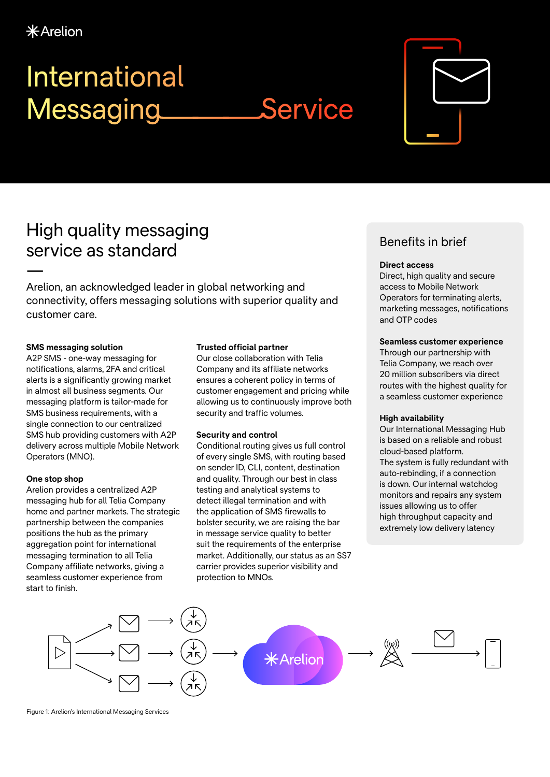# International Messaging Service

## High quality messaging service as standard

— Arelion, an acknowledged leader in global networking and connectivity, offers messaging solutions with superior quality and customer care.

#### **SMS messaging solution**

A2P SMS - one-way messaging for notifications, alarms, 2FA and critical alerts is a significantly growing market in almost all business segments. Our messaging platform is tailor-made for SMS business requirements, with a single connection to our centralized SMS hub providing customers with A2P delivery across multiple Mobile Network Operators (MNO).

#### **One stop shop**

Arelion provides a centralized A2P messaging hub for all Telia Company home and partner markets. The strategic partnership between the companies positions the hub as the primary aggregation point for international messaging termination to all Telia Company affiliate networks, giving a seamless customer experience from start to finish.

#### **Trusted official partner**

Our close collaboration with Telia Company and its affiliate networks ensures a coherent policy in terms of customer engagement and pricing while allowing us to continuously improve both security and traffic volumes.

#### **Security and control**

Conditional routing gives us full control of every single SMS, with routing based on sender ID, CLI, content, destination and quality. Through our best in class testing and analytical systems to detect illegal termination and with the application of SMS firewalls to bolster security, we are raising the bar in message service quality to better suit the requirements of the enterprise market. Additionally, our status as an SS7 carrier provides superior visibility and protection to MNOs.

### Benefits in brief

#### **Direct access**

Direct, high quality and secure access to Mobile Network Operators for terminating alerts, marketing messages, notifications and OTP codes

#### **Seamless customer experience**

Through our partnership with Telia Company, we reach over 20 million subscribers via direct routes with the highest quality for a seamless customer experience

#### **High availability**

Our International Messaging Hub is based on a reliable and robust cloud-based platform. The system is fully redundant with auto-rebinding, if a connection is down. Our internal watchdog monitors and repairs any system issues allowing us to offer high throughput capacity and extremely low delivery latency



Figure 1: Arelion's International Messaging Services